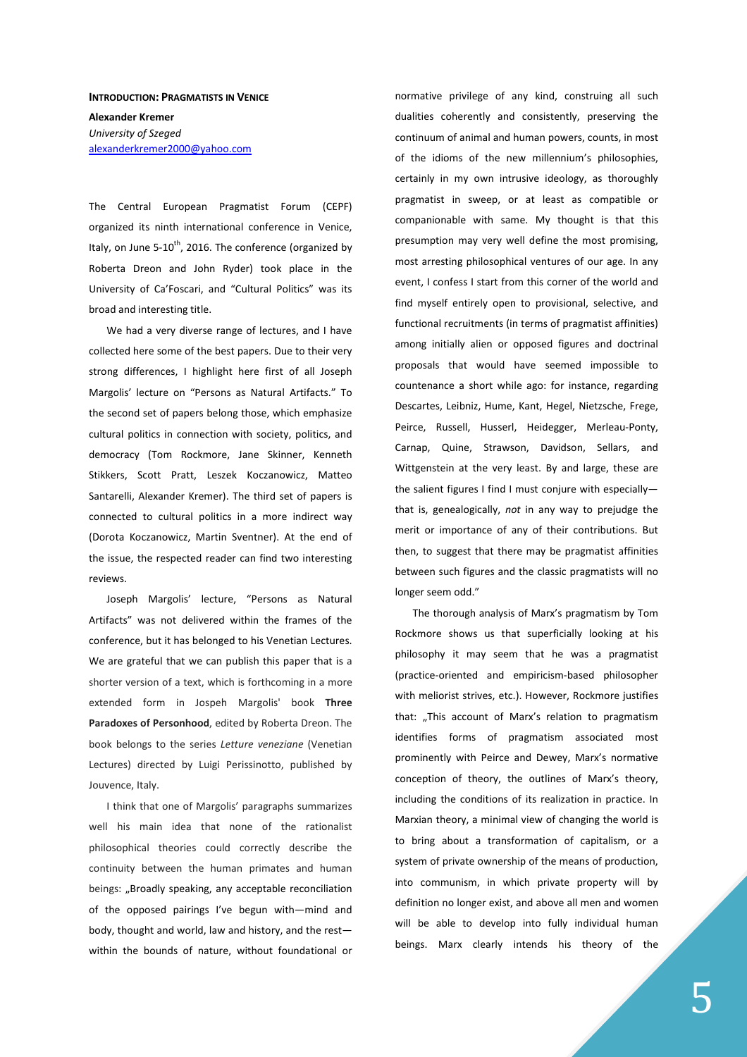## **INTRODUCTION: PRAGMATISTS IN VENICE**

**Alexander Kremer**  *University of Szeged*  alexanderkremer2000@yahoo.com

The Central European Pragmatist Forum (CEPF) organized its ninth international conference in Venice, Italy, on June 5-10<sup>th</sup>, 2016. The conference (organized by Roberta Dreon and John Ryder) took place in the University of Ca'Foscari, and "Cultural Politics" was its broad and interesting title.

We had a very diverse range of lectures, and I have collected here some of the best papers. Due to their very strong differences, I highlight here first of all Joseph Margolis' lecture on "Persons as Natural Artifacts." To the second set of papers belong those, which emphasize cultural politics in connection with society, politics, and democracy (Tom Rockmore, Jane Skinner, Kenneth Stikkers, Scott Pratt, Leszek Koczanowicz, Matteo Santarelli, Alexander Kremer). The third set of papers is connected to cultural politics in a more indirect way (Dorota Koczanowicz, Martin Sventner). At the end of the issue, the respected reader can find two interesting reviews.

Joseph Margolis' lecture, "Persons as Natural Artifacts" was not delivered within the frames of the conference, but it has belonged to his Venetian Lectures. We are grateful that we can publish this paper that is a shorter version of a text, which is forthcoming in a more extended form in Jospeh Margolis' book **Three Paradoxes of Personhood**, edited by Roberta Dreon. The book belongs to the series *Letture veneziane* (Venetian Lectures) directed by Luigi Perissinotto, published by Jouvence, Italy.

I think that one of Margolis' paragraphs summarizes well his main idea that none of the rationalist philosophical theories could correctly describe the continuity between the human primates and human beings: "Broadly speaking, any acceptable reconciliation of the opposed pairings I've begun with—mind and body, thought and world, law and history, and the rest within the bounds of nature, without foundational or

normative privilege of any kind, construing all such dualities coherently and consistently, preserving the continuum of animal and human powers, counts, in most of the idioms of the new millennium's philosophies, certainly in my own intrusive ideology, as thoroughly pragmatist in sweep, or at least as compatible or companionable with same. My thought is that this presumption may very well define the most promising, most arresting philosophical ventures of our age. In any event, I confess I start from this corner of the world and find myself entirely open to provisional, selective, and functional recruitments (in terms of pragmatist affinities) among initially alien or opposed figures and doctrinal proposals that would have seemed impossible to countenance a short while ago: for instance, regarding Descartes, Leibniz, Hume, Kant, Hegel, Nietzsche, Frege, Peirce, Russell, Husserl, Heidegger, Merleau-Ponty, Carnap, Quine, Strawson, Davidson, Sellars, and Wittgenstein at the very least. By and large, these are the salient figures I find I must conjure with especially that is, genealogically, *not* in any way to prejudge the merit or importance of any of their contributions. But then, to suggest that there may be pragmatist affinities between such figures and the classic pragmatists will no longer seem odd."

The thorough analysis of Marx's pragmatism by Tom Rockmore shows us that superficially looking at his philosophy it may seem that he was a pragmatist (practice-oriented and empiricism-based philosopher with meliorist strives, etc.). However, Rockmore justifies that: "This account of Marx's relation to pragmatism identifies forms of pragmatism associated most prominently with Peirce and Dewey, Marx's normative conception of theory, the outlines of Marx's theory, including the conditions of its realization in practice. In Marxian theory, a minimal view of changing the world is to bring about a transformation of capitalism, or a system of private ownership of the means of production, into communism, in which private property will by definition no longer exist, and above all men and women will be able to develop into fully individual human beings. Marx clearly intends his theory of the